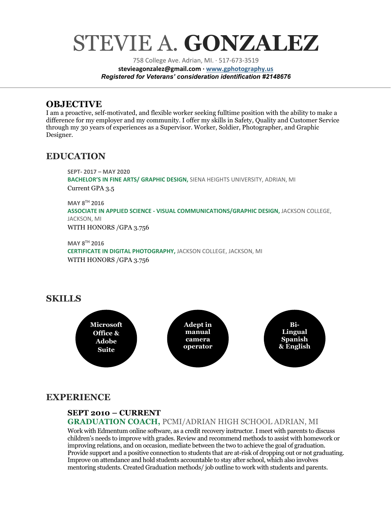# STEVIE A. **GONZALEZ**

758 College Ave. Adrian, MI. · 517-673-3519 **stevieagonzalez@gmail.com · [www.gphotography.us](http://www.gphotography.uso/)** *Registered for Veterans' consideration identification #2148676*

# **OBJECTIVE**

I am a proactive, self-motivated, and flexible worker seeking fulltime position with the ability to make a difference for my employer and my community. I offer my skills in Safety, Quality and Customer Service through my 30 years of experiences as a Supervisor. Worker, Soldier, Photographer, and Graphic Designer.

# **EDUCATION**

**SEPT- 2017 – MAY 2020 BACHELOR'S IN FINE ARTS/ GRAPHIC DESIGN,** SIENA HEIGHTS UNIVERSITY, ADRIAN, MI Current GPA 3.5 **MAY 8TH 2016**

**ASSOCIATE IN APPLIED SCIENCE - VISUAL COMMUNICATIONS/GRAPHIC DESIGN,** JACKSON COLLEGE, JACKSON, MI

WITH HONORS /GPA 3.756

**MAY 8TH 2016 CERTIFICATE IN DIGITAL PHOTOGRAPHY,** JACKSON COLLEGE, JACKSON, MI WITH HONORS /GPA 3.756

# **SKILLS**



# **EXPERIENCE**

## **SEPT 2010 – CURRENT**

**GRADUATION COACH,** PCMI/ADRIAN HIGH SCHOOL ADRIAN, MI Work with Edmentum online software, as a credit recovery instructor. I meet with parents to discuss children's needs to improve with grades. Review and recommend methods to assist with homework or improving relations, and on occasion, mediate between the two to achieve the goal of graduation. Provide support and a positive connection to students that are at-risk of dropping out or not graduating. Improve on attendance and hold students accountable to stay after school, which also involves mentoring students. Created Graduation methods/ job outline to work with students and parents.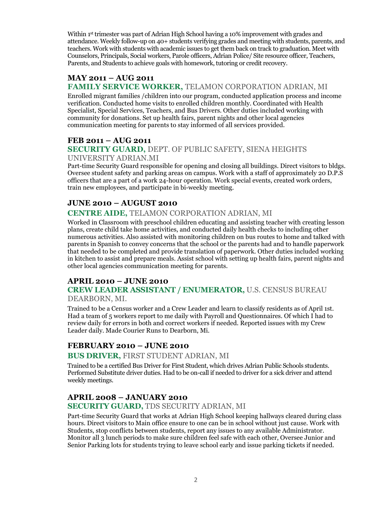Within 1<sup>st</sup> trimester was part of Adrian High School having a 10% improvement with grades and attendance. Weekly follow-up on 40+ students verifying grades and meeting with students, parents, and teachers. Work with students with academic issues to get them back on track to graduation. Meet with Counselors, Principals, Social workers, Parole officers, Adrian Police/ Site resource officer, Teachers, Parents, and Students to achieve goals with homework, tutoring or credit recovery.

#### **MAY 2011 – AUG 2011 FAMILY SERVICE WORKER,** TELAMON CORPORATION ADRIAN, MI

Enrolled migrant families /children into our program, conducted application process and income verification. Conducted home visits to enrolled children monthly. Coordinated with Health Specialist, Special Services, Teachers, and Bus Drivers. Other duties included working with community for donations. Set up health fairs, parent nights and other local agencies communication meeting for parents to stay informed of all services provided.

#### **FEB 2011 – AUG 2011**

#### **SECURITY GUARD,** DEPT. OF PUBLIC SAFETY, SIENA HEIGHTS UNIVERSITY ADRIAN.MI

Part-time Security Guard responsible for opening and closing all buildings. Direct visitors to bldgs. Oversee student safety and parking areas on campus. Work with a staff of approximately 20 D.P.S officers that are a part of a work 24-hour operation. Work special events, created work orders, train new employees, and participate in bi-weekly meeting.

#### **JUNE 2010 – AUGUST 2010**

#### **CENTRE AIDE,** TELAMON CORPORATION ADRIAN, MI

Worked in Classroom with preschool children educating and assisting teacher with creating lesson plans, create child take home activities, and conducted daily health checks to including other numerous activities. Also assisted with monitoring children on bus routes to home and talked with parents in Spanish to convey concerns that the school or the parents had and to handle paperwork that needed to be completed and provide translation of paperwork. Other duties included working in kitchen to assist and prepare meals. Assist school with setting up health fairs, parent nights and other local agencies communication meeting for parents.

#### **APRIL 2010 – JUNE 2010**

# **CREW LEADER ASSISTANT / ENUMERATOR,** U.S. CENSUS BUREAU

#### DEARBORN, MI.

Trained to be a Census worker and a Crew Leader and learn to classify residents as of April 1st. Had a team of 5 workers report to me daily with Payroll and Questionnaires. Of which I had to review daily for errors in both and correct workers if needed. Reported issues with my Crew Leader daily. Made Courier Runs to Dearborn, Mi.

#### **FEBRUARY 2010 – JUNE 2010**

#### **BUS DRIVER,** FIRST STUDENT ADRIAN, MI

Trained to be a certified Bus Driver for First Student, which drives Adrian Public Schools students. Performed Substitute driver duties. Had to be on-call if needed to driver for a sick driver and attend weekly meetings.

#### **APRIL 2008 – JANUARY 2010**

#### **SECURITY GUARD,** TDS SECURITY ADRIAN, MI

Part-time Security Guard that works at Adrian High School keeping hallways cleared during class hours. Direct visitors to Main office ensure to one can be in school without just cause. Work with Students, stop conflicts between students, report any issues to any available Administrator. Monitor all 3 lunch periods to make sure children feel safe with each other, Oversee Junior and Senior Parking lots for students trying to leave school early and issue parking tickets if needed.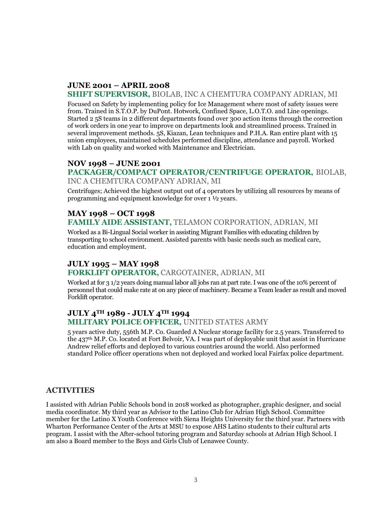# **JUNE 2001 – APRIL 2008**

#### **SHIFT SUPERVISOR,** BIOLAB, INC A CHEMTURA COMPANY ADRIAN, MI

Focused on Safety by implementing policy for Ice Management where most of safety issues were from. Trained in S.T.O.P. by DuPont. Hotwork, Confined Space, L.O.T.O. and Line openings. Started 2 5S teams in 2 different departments found over 300 action items through the correction of work orders in one year to improve on departments look and streamlined process. Trained in several improvement methods. 5S, Kiazan, Lean techniques and P.H.A. Ran entire plant with 15 union employees, maintained schedules performed discipline, attendance and payroll. Worked with Lab on quality and worked with Maintenance and Electrician.

#### **NOV 1998 – JUNE 2001**

#### **PACKAGER/COMPACT OPERATOR/CENTRIFUGE OPERATOR,** BIOLAB, INC A CHEMTURA COMPANY ADRIAN, MI

Centrifuges; Achieved the highest output out of 4 operators by utilizing all resources by means of programming and equipment knowledge for over 1 ½ years.

# **MAY 1998 – OCT 1998**

#### **FAMILY AIDE ASSISTANT,** TELAMON CORPORATION, ADRIAN, MI

Worked as a Bi-Lingual Social worker in assisting Migrant Families with educating children by transporting to school environment. Assisted parents with basic needs such as medical care, education and employment.

## **JULY 1995 – MAY 1998**

#### **FORKLIFT OPERATOR,** CARGOTAINER, ADRIAN, MI

Worked at for 31/2 years doing manual labor all jobs ran at part rate. I was one of the 10% percent of personnel that could make rate at on any piece of machinery. Became a Team leader as result and moved Forklift operator.

#### **JULY 4TH 1989 - JULY 4TH 1994 MILITARY POLICE OFFICER,** UNITED STATES ARMY

5 years active duty, 556th M.P. Co. Guarded A Nuclear storage facility for 2.5 years. Transferred to the 437th M.P. Co. located at Fort Belvoir, VA. I was part of deployable unit that assist in Hurricane Andrew relief efforts and deployed to various countries around the world. Also performed standard Police officer operations when not deployed and worked local Fairfax police department.

#### **ACTIVITIES**

I assisted with Adrian Public Schools bond in 2018 worked as photographer, graphic designer, and social media coordinator. My third year as Advisor to the Latino Club for Adrian High School. Committee member for the Latino X Youth Conference with Siena Heights University for the third year. Partners with Wharton Performance Center of the Arts at MSU to expose AHS Latino students to their cultural arts program. I assist with the After-school tutoring program and Saturday schools at Adrian High School. I am also a Board member to the Boys and Girls Club of Lenawee County.